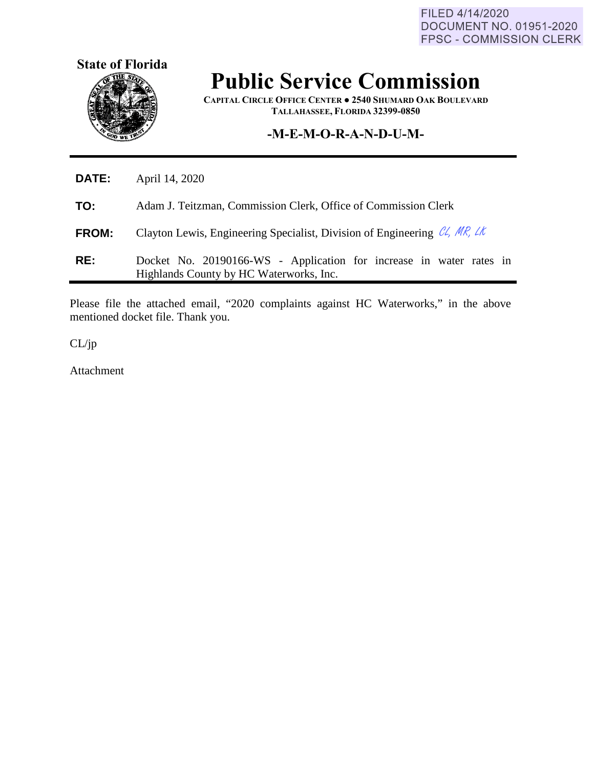FILED 4/14/2020 DOCUMENT NO. 01951-2020 FPSC - COMMISSION CLERK



## **Public Service Commission**

**CAPITAL CIRCLE OFFICE CENTER ● 2540 SHUMARD OAK BOULEVARD TALLAHASSEE, FLORIDA 32399-0850**

## **-M-E-M-O-R-A-N-D-U-M-**

| DATE:        | April 14, 2020                                                                                                 |  |  |
|--------------|----------------------------------------------------------------------------------------------------------------|--|--|
| TO:          | Adam J. Teitzman, Commission Clerk, Office of Commission Clerk                                                 |  |  |
| <b>FROM:</b> | Clayton Lewis, Engineering Specialist, Division of Engineering $\mathcal{C}\mathcal{L}$ , MR, LK               |  |  |
| RE:          | Docket No. 20190166-WS - Application for increase in water rates in<br>Highlands County by HC Waterworks, Inc. |  |  |

Please file the attached email, "2020 complaints against HC Waterworks," in the above mentioned docket file. Thank you.

CL/jp

Attachment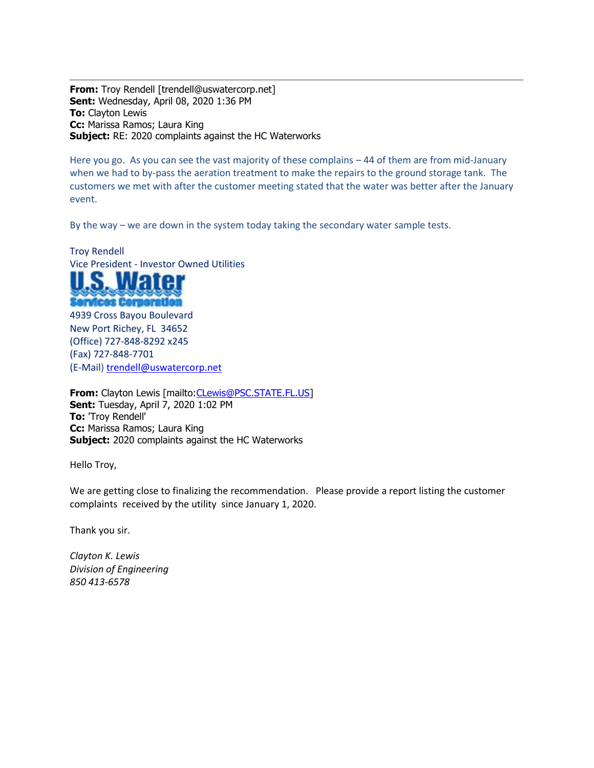**From:** Troy Rendell [trendell@uswatercorp.net] **Sent:** Wednesday, April 08, 2020 1:36 PM **To:** Clayton Lewis **Cc:** Marissa Ramos; Laura King **Subject:** RE: 2020 complaints against the HC Waterworks

Here you go. As you can see the vast majority of these complains – 44 of them are from mid-January when we had to by-pass the aeration treatment to make the repairs to the ground storage tank. The customers we met with after the customer meeting stated that the water was better after the January event.

By the way – we are down in the system today taking the secondary water sample tests.

Troy Rendell Vice President - Investor Owned Utilities



4939 Cross Bayou Boulevard New Port Richey, FL 34652 (Office) 727-848-8292 x245 (Fax) 727-848-7701 (E-Mail[\) trendell@uswatercorp.net](mailto:trendell@uswatercorp.net)

From: Clayton Lewis [mailto: CLewis@PSC.STATE.FL.US] **Sent:** Tuesday, April 7, 2020 1:02 PM **To:** 'Troy Rendell' **Cc:** Marissa Ramos; Laura King **Subject:** 2020 complaints against the HC Waterworks

Hello Troy,

We are getting close to finalizing the recommendation. Please provide a report listing the customer complaints received by the utility since January 1, 2020.

Thank you sir.

*Clayton K. Lewis Division of Engineering 850 413-6578*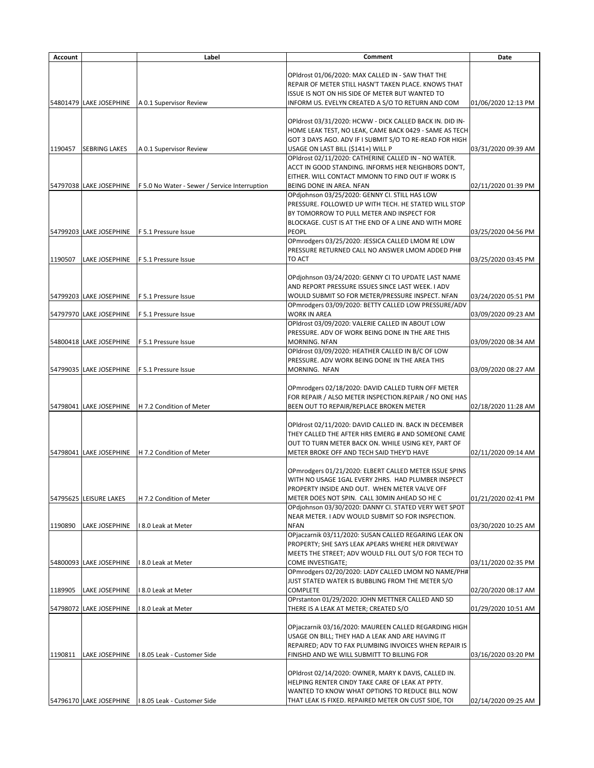| <b>Account</b> |                         | Label                                          | <b>Comment</b>                                                                                               | <b>Date</b>         |
|----------------|-------------------------|------------------------------------------------|--------------------------------------------------------------------------------------------------------------|---------------------|
|                |                         |                                                |                                                                                                              |                     |
|                |                         |                                                | OPIdrost 01/06/2020: MAX CALLED IN - SAW THAT THE                                                            |                     |
|                |                         |                                                | REPAIR OF METER STILL HASN'T TAKEN PLACE. KNOWS THAT                                                         |                     |
|                |                         |                                                | ISSUE IS NOT ON HIS SIDE OF METER BUT WANTED TO                                                              |                     |
|                | 54801479 LAKE JOSEPHINE | A 0.1 Supervisor Review                        | INFORM US. EVELYN CREATED A S/O TO RETURN AND COM                                                            | 01/06/2020 12:13 PM |
|                |                         |                                                |                                                                                                              |                     |
|                |                         |                                                | OPIdrost 03/31/2020: HCWW - DICK CALLED BACK IN. DID IN-                                                     |                     |
|                |                         |                                                | HOME LEAK TEST, NO LEAK, CAME BACK 0429 - SAME AS TECH                                                       |                     |
|                |                         |                                                | GOT 3 DAYS AGO. ADV IF I SUBMIT S/O TO RE-READ FOR HIGH                                                      |                     |
| 1190457        | <b>SEBRING LAKES</b>    | A 0.1 Supervisor Review                        | USAGE ON LAST BILL (\$141+) WILL P                                                                           | 03/31/2020 09:39 AM |
|                |                         |                                                | OPIdrost 02/11/2020: CATHERINE CALLED IN - NO WATER.                                                         |                     |
|                |                         |                                                | ACCT IN GOOD STANDING. INFORMS HER NEIGHBORS DON'T,                                                          |                     |
|                |                         |                                                | EITHER. WILL CONTACT MMONN TO FIND OUT IF WORK IS                                                            |                     |
|                | 54797038 LAKE JOSEPHINE | F 5.0 No Water - Sewer / Service Interruption  | BEING DONE IN AREA. NFAN                                                                                     | 02/11/2020 01:39 PM |
|                |                         |                                                | OPdjohnson 03/25/2020: GENNY CI. STILL HAS LOW<br>PRESSURE. FOLLOWED UP WITH TECH. HE STATED WILL STOP       |                     |
|                |                         |                                                | BY TOMORROW TO PULL METER AND INSPECT FOR                                                                    |                     |
|                |                         |                                                | BLOCKAGE. CUST IS AT THE END OF A LINE AND WITH MORE                                                         |                     |
|                | 54799203 LAKE JOSEPHINE | F 5.1 Pressure Issue                           | <b>PEOPL</b>                                                                                                 | 03/25/2020 04:56 PM |
|                |                         |                                                | OPmrodgers 03/25/2020: JESSICA CALLED LMOM RE LOW                                                            |                     |
|                |                         |                                                | PRESSURE RETURNED CALL NO ANSWER LMOM ADDED PH#                                                              |                     |
| 1190507        | LAKE JOSEPHINE          | F 5.1 Pressure Issue                           | TO ACT                                                                                                       | 03/25/2020 03:45 PM |
|                |                         |                                                |                                                                                                              |                     |
|                |                         |                                                | OPdjohnson 03/24/2020: GENNY CI TO UPDATE LAST NAME                                                          |                     |
|                |                         |                                                | AND REPORT PRESSURE ISSUES SINCE LAST WEEK. I ADV                                                            |                     |
|                | 54799203 LAKE JOSEPHINE | <b>F 5.1 Pressure Issue</b>                    | WOULD SUBMIT SO FOR METER/PRESSURE INSPECT. NFAN                                                             | 03/24/2020 05:51 PM |
|                |                         |                                                | OPmrodgers 03/09/2020: BETTY CALLED LOW PRESSURE/ADV                                                         |                     |
|                | 54797970 LAKE JOSEPHINE | F 5.1 Pressure Issue                           | <b>WORK IN AREA</b>                                                                                          | 03/09/2020 09:23 AM |
|                |                         |                                                | OPIdrost 03/09/2020: VALERIE CALLED IN ABOUT LOW                                                             |                     |
|                |                         |                                                | PRESSURE. ADV OF WORK BEING DONE IN THE ARE THIS                                                             |                     |
|                |                         | 54800418 LAKE JOSEPHINE   F 5.1 Pressure Issue | MORNING. NFAN                                                                                                | 03/09/2020 08:34 AM |
|                |                         |                                                | OPIdrost 03/09/2020: HEATHER CALLED IN B/C OF LOW                                                            |                     |
|                |                         |                                                | PRESSURE. ADV WORK BEING DONE IN THE AREA THIS                                                               |                     |
|                | 54799035 LAKE JOSEPHINE | F 5.1 Pressure Issue                           | MORNING. NFAN                                                                                                | 03/09/2020 08:27 AM |
|                |                         |                                                |                                                                                                              |                     |
|                |                         |                                                | OPmrodgers 02/18/2020: DAVID CALLED TURN OFF METER<br>FOR REPAIR / ALSO METER INSPECTION.REPAIR / NO ONE HAS |                     |
|                | 54798041 LAKE JOSEPHINE | H 7.2 Condition of Meter                       | BEEN OUT TO REPAIR/REPLACE BROKEN METER                                                                      | 02/18/2020 11:28 AM |
|                |                         |                                                |                                                                                                              |                     |
|                |                         |                                                | OPIdrost 02/11/2020: DAVID CALLED IN. BACK IN DECEMBER                                                       |                     |
|                |                         |                                                | THEY CALLED THE AFTER HRS EMERG # AND SOMEONE CAME                                                           |                     |
|                |                         |                                                | OUT TO TURN METER BACK ON. WHILE USING KEY, PART OF                                                          |                     |
|                | 54798041 LAKE JOSEPHINE | H 7.2 Condition of Meter                       | METER BROKE OFF AND TECH SAID THEY'D HAVE                                                                    | 02/11/2020 09:14 AM |
|                |                         |                                                |                                                                                                              |                     |
|                |                         |                                                | OPmrodgers 01/21/2020: ELBERT CALLED METER ISSUE SPINS                                                       |                     |
|                |                         |                                                | WITH NO USAGE 1GAL EVERY 2HRS. HAD PLUMBER INSPECT                                                           |                     |
|                |                         |                                                | PROPERTY INSIDE AND OUT. WHEN METER VALVE OFF                                                                |                     |
|                | 54795625 LEISURE LAKES  | H 7.2 Condition of Meter                       | METER DOES NOT SPIN. CALL 30MIN AHEAD SO HE C                                                                | 01/21/2020 02:41 PM |
|                |                         |                                                | OPdjohnson 03/30/2020: DANNY CI. STATED VERY WET SPOT                                                        |                     |
|                |                         |                                                | NEAR METER. I ADV WOULD SUBMIT SO FOR INSPECTION.                                                            |                     |
| 1190890        | <b>LAKE JOSEPHINE</b>   | 18.0 Leak at Meter                             | <b>NFAN</b>                                                                                                  | 03/30/2020 10:25 AM |
|                |                         |                                                | OPjaczarnik 03/11/2020: SUSAN CALLED REGARING LEAK ON                                                        |                     |
|                |                         |                                                | PROPERTY; SHE SAYS LEAK APEARS WHERE HER DRIVEWAY                                                            |                     |
|                |                         |                                                | MEETS THE STREET; ADV WOULD FILL OUT S/O FOR TECH TO                                                         |                     |
|                | 54800093 LAKE JOSEPHINE | I 8.0 Leak at Meter                            | <b>COME INVESTIGATE:</b>                                                                                     | 03/11/2020 02:35 PM |
|                |                         |                                                | OPmrodgers 02/20/2020: LADY CALLED LMOM NO NAME/PH#                                                          |                     |
|                | <b>LAKE JOSEPHINE</b>   | I 8.0 Leak at Meter                            | JUST STATED WATER IS BUBBLING FROM THE METER S/O<br><b>COMPLETE</b>                                          |                     |
| 1189905        |                         |                                                | OPrstanton 01/29/2020: JOHN METTNER CALLED AND SD                                                            | 02/20/2020 08:17 AM |
|                | 54798072 LAKE JOSEPHINE | I 8.0 Leak at Meter                            | THERE IS A LEAK AT METER; CREATED S/O                                                                        | 01/29/2020 10:51 AM |
|                |                         |                                                |                                                                                                              |                     |
|                |                         |                                                | OPjaczarnik 03/16/2020: MAUREEN CALLED REGARDING HIGH                                                        |                     |
|                |                         |                                                | USAGE ON BILL; THEY HAD A LEAK AND ARE HAVING IT                                                             |                     |
|                |                         |                                                | REPAIRED; ADV TO FAX PLUMBING INVOICES WHEN REPAIR IS                                                        |                     |
| 1190811        | LAKE JOSEPHINE          | I 8.05 Leak - Customer Side                    | FINISHD AND WE WILL SUBMITT TO BILLING FOR                                                                   | 03/16/2020 03:20 PM |
|                |                         |                                                |                                                                                                              |                     |
|                |                         |                                                | OPIdrost 02/14/2020: OWNER, MARY K DAVIS, CALLED IN.                                                         |                     |
|                |                         |                                                | HELPING RENTER CINDY TAKE CARE OF LEAK AT PPTY.                                                              |                     |
|                |                         |                                                | WANTED TO KNOW WHAT OPTIONS TO REDUCE BILL NOW                                                               |                     |
|                | 54796170 LAKE JOSEPHINE | I 8.05 Leak - Customer Side                    | THAT LEAK IS FIXED. REPAIRED METER ON CUST SIDE, TOI                                                         | 02/14/2020 09:25 AM |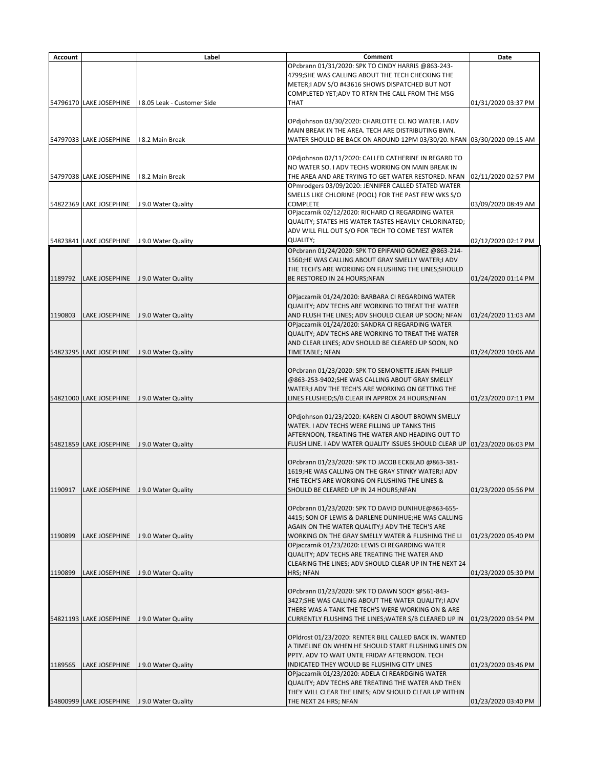| <b>Account</b> |                         | Label                       | <b>Comment</b>                                                                                              | <b>Date</b>         |
|----------------|-------------------------|-----------------------------|-------------------------------------------------------------------------------------------------------------|---------------------|
|                |                         |                             | OPcbrann 01/31/2020: SPK TO CINDY HARRIS @863-243-                                                          |                     |
|                |                         |                             | 4799; SHE WAS CALLING ABOUT THE TECH CHECKING THE                                                           |                     |
|                |                         |                             | METER;I ADV S/O #43616 SHOWS DISPATCHED BUT NOT                                                             |                     |
|                | 54796170 LAKE JOSEPHINE | I 8.05 Leak - Customer Side | COMPLETED YET; ADV TO RTRN THE CALL FROM THE MSG<br><b>THAT</b>                                             | 01/31/2020 03:37 PM |
|                |                         |                             |                                                                                                             |                     |
|                |                         |                             | OPdjohnson 03/30/2020: CHARLOTTE CI. NO WATER. I ADV<br>MAIN BREAK IN THE AREA. TECH ARE DISTRIBUTING BWN.  |                     |
|                | 54797033 LAKE JOSEPHINE | I 8.2 Main Break            | WATER SHOULD BE BACK ON AROUND 12PM 03/30/20. NFAN 03/30/2020 09:15 AM                                      |                     |
|                |                         |                             |                                                                                                             |                     |
|                |                         |                             | OPdjohnson 02/11/2020: CALLED CATHERINE IN REGARD TO                                                        |                     |
|                |                         |                             | NO WATER SO. I ADV TECHS WORKING ON MAIN BREAK IN                                                           |                     |
|                | 54797038 LAKE JOSEPHINE | I 8.2 Main Break            | THE AREA AND ARE TRYING TO GET WATER RESTORED. NFAN                                                         | 02/11/2020 02:57 PM |
|                |                         |                             | OPmrodgers 03/09/2020: JENNIFER CALLED STATED WATER<br>SMELLS LIKE CHLORINE (POOL) FOR THE PAST FEW WKS S/O |                     |
|                | 54822369 LAKE JOSEPHINE | J 9.0 Water Quality         | <b>COMPLETE</b>                                                                                             | 03/09/2020 08:49 AM |
|                |                         |                             | OPjaczarnik 02/12/2020: RICHARD CI REGARDING WATER                                                          |                     |
|                |                         |                             | QUALITY; STATES HIS WATER TASTES HEAVILY CHLORINATED;                                                       |                     |
|                |                         |                             | ADV WILL FILL OUT S/O FOR TECH TO COME TEST WATER                                                           |                     |
|                | 54823841 LAKE JOSEPHINE | J 9.0 Water Quality         | <b>QUALITY;</b>                                                                                             | 02/12/2020 02:17 PM |
|                |                         |                             | OPcbrann 01/24/2020: SPK TO EPIFANIO GOMEZ @863-214-                                                        |                     |
|                |                         |                             | 1560;HE WAS CALLING ABOUT GRAY SMELLY WATER;I ADV                                                           |                     |
| 1189792        | LAKE JOSEPHINE          | J 9.0 Water Quality         | THE TECH'S ARE WORKING ON FLUSHING THE LINES; SHOULD<br>BE RESTORED IN 24 HOURS; NFAN                       | 01/24/2020 01:14 PM |
|                |                         |                             |                                                                                                             |                     |
|                |                         |                             | OPjaczarnik 01/24/2020: BARBARA CI REGARDING WATER                                                          |                     |
|                |                         |                             | QUALITY; ADV TECHS ARE WORKING TO TREAT THE WATER                                                           |                     |
| 1190803        | LAKE JOSEPHINE          | J 9.0 Water Quality         | AND FLUSH THE LINES; ADV SHOULD CLEAR UP SOON; NFAN                                                         | 01/24/2020 11:03 AM |
|                |                         |                             | OPjaczarnik 01/24/2020: SANDRA CI REGARDING WATER                                                           |                     |
|                |                         |                             | QUALITY; ADV TECHS ARE WORKING TO TREAT THE WATER                                                           |                     |
|                | 54823295 LAKE JOSEPHINE | J 9.0 Water Quality         | AND CLEAR LINES; ADV SHOULD BE CLEARED UP SOON, NO<br>TIMETABLE; NFAN                                       | 01/24/2020 10:06 AM |
|                |                         |                             |                                                                                                             |                     |
|                |                         |                             | OPcbrann 01/23/2020: SPK TO SEMONETTE JEAN PHILLIP                                                          |                     |
|                |                         |                             | @863-253-9402;SHE WAS CALLING ABOUT GRAY SMELLY                                                             |                     |
|                |                         |                             | WATER;I ADV THE TECH'S ARE WORKING ON GETTING THE                                                           |                     |
|                | 54821000 LAKE JOSEPHINE | J 9.0 Water Quality         | LINES FLUSHED;S/B CLEAR IN APPROX 24 HOURS;NFAN                                                             | 01/23/2020 07:11 PM |
|                |                         |                             | OPdjohnson 01/23/2020: KAREN CI ABOUT BROWN SMELLY                                                          |                     |
|                |                         |                             | WATER. I ADV TECHS WERE FILLING UP TANKS THIS                                                               |                     |
|                |                         |                             | AFTERNOON, TREATING THE WATER AND HEADING OUT TO                                                            |                     |
|                | 54821859 LAKE JOSEPHINE | J 9.0 Water Quality         | FLUSH LINE. I ADV WATER QUALITY ISSUES SHOULD CLEAR UP 01/23/2020 06:03 PM                                  |                     |
|                |                         |                             |                                                                                                             |                     |
|                |                         |                             | OPcbrann 01/23/2020: SPK TO JACOB ECKBLAD @863-381-                                                         |                     |
|                |                         |                             | 1619;HE WAS CALLING ON THE GRAY STINKY WATER;I ADV<br>THE TECH'S ARE WORKING ON FLUSHING THE LINES &        |                     |
| 1190917        | <b>LAKE JOSEPHINE</b>   | J 9.0 Water Quality         | SHOULD BE CLEARED UP IN 24 HOURS; NFAN                                                                      | 01/23/2020 05:56 PM |
|                |                         |                             |                                                                                                             |                     |
|                |                         |                             | OPcbrann 01/23/2020: SPK TO DAVID DUNIHUE@863-655-                                                          |                     |
|                |                         |                             | 4415; SON OF LEWIS & DARLENE DUNIHUE;HE WAS CALLING                                                         |                     |
|                |                         |                             | AGAIN ON THE WATER QUALITY;I ADV THE TECH'S ARE                                                             |                     |
| 1190899        | <b>LAKE JOSEPHINE</b>   | J 9.0 Water Quality         | <b>WORKING ON THE GRAY SMELLY WATER &amp; FLUSHING THE LI</b>                                               | 01/23/2020 05:40 PM |
|                |                         |                             | OPjaczarnik 01/23/2020: LEWIS CI REGARDING WATER<br>QUALITY; ADV TECHS ARE TREATING THE WATER AND           |                     |
|                |                         |                             | CLEARING THE LINES; ADV SHOULD CLEAR UP IN THE NEXT 24                                                      |                     |
| 1190899        | LAKE JOSEPHINE          | J 9.0 Water Quality         | <b>HRS; NFAN</b>                                                                                            | 01/23/2020 05:30 PM |
|                |                         |                             |                                                                                                             |                     |
|                |                         |                             | OPcbrann 01/23/2020: SPK TO DAWN SOOY @561-843-                                                             |                     |
|                |                         |                             | 3427; SHE WAS CALLING ABOUT THE WATER QUALITY; I ADV                                                        |                     |
|                | 54821193 LAKE JOSEPHINE | J 9.0 Water Quality         | THERE WAS A TANK THE TECH'S WERE WORKING ON & ARE<br>CURRENTLY FLUSHING THE LINES; WATER S/B CLEARED UP IN  | 01/23/2020 03:54 PM |
|                |                         |                             |                                                                                                             |                     |
|                |                         |                             | OPIdrost 01/23/2020: RENTER BILL CALLED BACK IN. WANTED                                                     |                     |
|                |                         |                             | A TIMELINE ON WHEN HE SHOULD START FLUSHING LINES ON                                                        |                     |
|                |                         |                             | PPTY. ADV TO WAIT UNTIL FRIDAY AFTERNOON. TECH                                                              |                     |
| 1189565        | <b>LAKE JOSEPHINE</b>   | J 9.0 Water Quality         | INDICATED THEY WOULD BE FLUSHING CITY LINES                                                                 | 01/23/2020 03:46 PM |
|                |                         |                             | OPjaczarnik 01/23/2020: ADELA CI REARDGING WATER                                                            |                     |
|                |                         |                             | QUALITY; ADV TECHS ARE TREATING THE WATER AND THEN                                                          |                     |
|                | 54800999 LAKE JOSEPHINE | J 9.0 Water Quality         | THEY WILL CLEAR THE LINES; ADV SHOULD CLEAR UP WITHIN<br>THE NEXT 24 HRS; NFAN                              | 01/23/2020 03:40 PM |
|                |                         |                             |                                                                                                             |                     |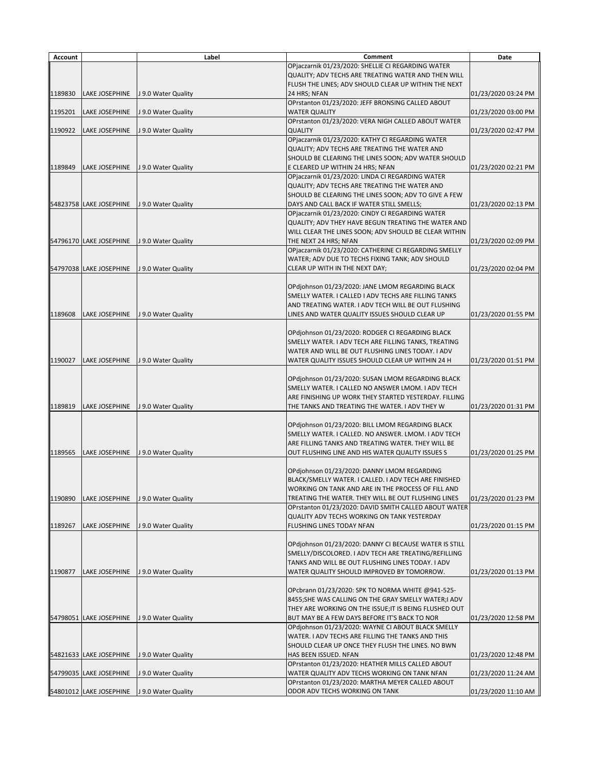| <b>Account</b> |                         | Label               | <b>Comment</b>                                                                                              | <b>Date</b>         |
|----------------|-------------------------|---------------------|-------------------------------------------------------------------------------------------------------------|---------------------|
|                |                         |                     | OPjaczarnik 01/23/2020: SHELLIE CI REGARDING WATER                                                          |                     |
|                |                         |                     | QUALITY; ADV TECHS ARE TREATING WATER AND THEN WILL                                                         |                     |
|                |                         |                     | FLUSH THE LINES; ADV SHOULD CLEAR UP WITHIN THE NEXT                                                        |                     |
| 1189830        | <b>LAKE JOSEPHINE</b>   | J 9.0 Water Quality | 24 HRS; NFAN<br>OPrstanton 01/23/2020: JEFF BRONSING CALLED ABOUT                                           | 01/23/2020 03:24 PM |
| 1195201        | <b>LAKE JOSEPHINE</b>   | J 9.0 Water Quality | <b>WATER QUALITY</b>                                                                                        | 01/23/2020 03:00 PM |
|                |                         |                     | OPrstanton 01/23/2020: VERA NIGH CALLED ABOUT WATER                                                         |                     |
| 1190922        | <b>LAKE JOSEPHINE</b>   | J 9.0 Water Quality | <b>QUALITY</b>                                                                                              | 01/23/2020 02:47 PM |
|                |                         |                     | OPjaczarnik 01/23/2020: KATHY CI REGARDING WATER                                                            |                     |
|                |                         |                     | QUALITY; ADV TECHS ARE TREATING THE WATER AND                                                               |                     |
| 1189849        | <b>LAKE JOSEPHINE</b>   | J 9.0 Water Quality | SHOULD BE CLEARING THE LINES SOON; ADV WATER SHOULD<br>E CLEARED UP WITHIN 24 HRS; NFAN                     | 01/23/2020 02:21 PM |
|                |                         |                     | OPjaczarnik 01/23/2020: LINDA CI REGARDING WATER                                                            |                     |
|                |                         |                     | QUALITY; ADV TECHS ARE TREATING THE WATER AND                                                               |                     |
|                |                         |                     | SHOULD BE CLEARING THE LINES SOON; ADV TO GIVE A FEW                                                        |                     |
|                | 54823758 LAKE JOSEPHINE | J 9.0 Water Quality | DAYS AND CALL BACK IF WATER STILL SMELLS;                                                                   | 01/23/2020 02:13 PM |
|                |                         |                     | OPjaczarnik 01/23/2020: CINDY CI REGARDING WATER                                                            |                     |
|                |                         |                     | QUALITY; ADV THEY HAVE BEGUN TREATING THE WATER AND                                                         |                     |
|                | 54796170 LAKE JOSEPHINE |                     | WILL CLEAR THE LINES SOON; ADV SHOULD BE CLEAR WITHIN                                                       |                     |
|                |                         | J 9.0 Water Quality | THE NEXT 24 HRS; NFAN<br>OPjaczarnik 01/23/2020: CATHERINE CI REGARDING SMELLY                              | 01/23/2020 02:09 PM |
|                |                         |                     | WATER; ADV DUE TO TECHS FIXING TANK; ADV SHOULD                                                             |                     |
|                | 54797038 LAKE JOSEPHINE | J 9.0 Water Quality | CLEAR UP WITH IN THE NEXT DAY;                                                                              | 01/23/2020 02:04 PM |
|                |                         |                     |                                                                                                             |                     |
|                |                         |                     | OPdjohnson 01/23/2020: JANE LMOM REGARDING BLACK                                                            |                     |
|                |                         |                     | SMELLY WATER. I CALLED I ADV TECHS ARE FILLING TANKS                                                        |                     |
|                |                         |                     | AND TREATING WATER. I ADV TECH WILL BE OUT FLUSHING                                                         | 01/23/2020 01:55 PM |
| 1189608        | <b>LAKE JOSEPHINE</b>   | J 9.0 Water Quality | LINES AND WATER QUALITY ISSUES SHOULD CLEAR UP                                                              |                     |
|                |                         |                     | OPdjohnson 01/23/2020: RODGER CI REGARDING BLACK                                                            |                     |
|                |                         |                     | SMELLY WATER. I ADV TECH ARE FILLING TANKS, TREATING                                                        |                     |
|                |                         |                     | WATER AND WILL BE OUT FLUSHING LINES TODAY. I ADV                                                           |                     |
| 1190027        | <b>LAKE JOSEPHINE</b>   | J 9.0 Water Quality | WATER QUALITY ISSUES SHOULD CLEAR UP WITHIN 24 H                                                            | 01/23/2020 01:51 PM |
|                |                         |                     |                                                                                                             |                     |
|                |                         |                     | OPdjohnson 01/23/2020: SUSAN LMOM REGARDING BLACK<br>SMELLY WATER. I CALLED NO ANSWER LMOM. I ADV TECH      |                     |
|                |                         |                     | ARE FINISHING UP WORK THEY STARTED YESTERDAY. FILLING                                                       |                     |
| 1189819        | <b>LAKE JOSEPHINE</b>   | J 9.0 Water Quality | THE TANKS AND TREATING THE WATER. I ADV THEY W                                                              | 01/23/2020 01:31 PM |
|                |                         |                     |                                                                                                             |                     |
|                |                         |                     | OPdjohnson 01/23/2020: BILL LMOM REGARDING BLACK                                                            |                     |
|                |                         |                     | SMELLY WATER. I CALLED. NO ANSWER. LMOM. I ADV TECH                                                         |                     |
| 1189565        | <b>LAKE JOSEPHINE</b>   | J 9.0 Water Quality | ARE FILLING TANKS AND TREATING WATER. THEY WILL BE<br>OUT FLUSHING LINE AND HIS WATER QUALITY ISSUES S      | 01/23/2020 01:25 PM |
|                |                         |                     |                                                                                                             |                     |
|                |                         |                     | OPdjohnson 01/23/2020: DANNY LMOM REGARDING                                                                 |                     |
|                |                         |                     | BLACK/SMELLY WATER. I CALLED. I ADV TECH ARE FINISHED                                                       |                     |
|                |                         |                     | WORKING ON TANK AND ARE IN THE PROCESS OF FILL AND                                                          |                     |
| 1190890        | <b>LAKE JOSEPHINE</b>   | J 9.0 Water Quality | TREATING THE WATER. THEY WILL BE OUT FLUSHING LINES                                                         | 01/23/2020 01:23 PM |
|                |                         |                     | OPrstanton 01/23/2020: DAVID SMITH CALLED ABOUT WATER<br><b>QUALITY ADV TECHS WORKING ON TANK YESTERDAY</b> |                     |
| 1189267        | <b>LAKE JOSEPHINE</b>   | J 9.0 Water Quality | <b>FLUSHING LINES TODAY NFAN</b>                                                                            | 01/23/2020 01:15 PM |
|                |                         |                     |                                                                                                             |                     |
|                |                         |                     | OPdjohnson 01/23/2020: DANNY CI BECAUSE WATER IS STILL                                                      |                     |
|                |                         |                     | SMELLY/DISCOLORED. I ADV TECH ARE TREATING/REFILLING                                                        |                     |
|                |                         |                     | TANKS AND WILL BE OUT FLUSHING LINES TODAY. I ADV                                                           |                     |
| 1190877        | <b>LAKE JOSEPHINE</b>   | J 9.0 Water Quality | WATER QUALITY SHOULD IMPROVED BY TOMORROW.                                                                  | 01/23/2020 01:13 PM |
|                |                         |                     | OPcbrann 01/23/2020: SPK TO NORMA WHITE @941-525-                                                           |                     |
|                |                         |                     | 8455;SHE WAS CALLING ON THE GRAY SMELLY WATER;I ADV                                                         |                     |
|                |                         |                     | THEY ARE WORKING ON THE ISSUE; IT IS BEING FLUSHED OUT                                                      |                     |
|                | 54798051 LAKE JOSEPHINE | J 9.0 Water Quality | BUT MAY BE A FEW DAYS BEFORE IT'S BACK TO NOR                                                               | 01/23/2020 12:58 PM |
|                |                         |                     | OPdjohnson 01/23/2020: WAYNE CI ABOUT BLACK SMELLY                                                          |                     |
|                |                         |                     | WATER. I ADV TECHS ARE FILLING THE TANKS AND THIS                                                           |                     |
|                |                         |                     | SHOULD CLEAR UP ONCE THEY FLUSH THE LINES. NO BWN                                                           |                     |
|                | 54821633 LAKE JOSEPHINE | J 9.0 Water Quality | HAS BEEN ISSUED. NFAN<br>OPrstanton 01/23/2020: HEATHER MILLS CALLED ABOUT                                  | 01/23/2020 12:48 PM |
|                | 54799035 LAKE JOSEPHINE | J 9.0 Water Quality | WATER QUALITY ADV TECHS WORKING ON TANK NFAN                                                                | 01/23/2020 11:24 AM |
|                |                         |                     | OPrstanton 01/23/2020: MARTHA MEYER CALLED ABOUT                                                            |                     |
|                | 54801012 LAKE JOSEPHINE | J 9.0 Water Quality | ODOR ADV TECHS WORKING ON TANK                                                                              | 01/23/2020 11:10 AM |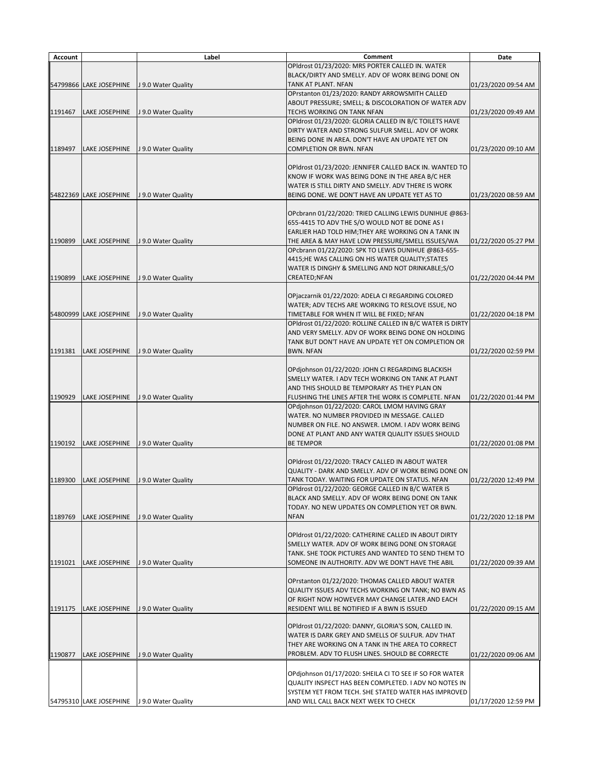| <b>Account</b> |                         | Label               | <b>Comment</b>                                                                                             | <b>Date</b>         |
|----------------|-------------------------|---------------------|------------------------------------------------------------------------------------------------------------|---------------------|
|                |                         |                     | OPIdrost 01/23/2020: MRS PORTER CALLED IN. WATER                                                           |                     |
|                |                         |                     | BLACK/DIRTY AND SMELLY. ADV OF WORK BEING DONE ON                                                          |                     |
|                | 54799866 LAKE JOSEPHINE | J 9.0 Water Quality | <b>TANK AT PLANT. NFAN</b>                                                                                 | 01/23/2020 09:54 AM |
|                |                         |                     | OPrstanton 01/23/2020: RANDY ARROWSMITH CALLED<br>ABOUT PRESSURE; SMELL; & DISCOLORATION OF WATER ADV      |                     |
| 1191467        | <b>LAKE JOSEPHINE</b>   | J 9.0 Water Quality | TECHS WORKING ON TANK NFAN                                                                                 | 01/23/2020 09:49 AM |
|                |                         |                     | OPIdrost 01/23/2020: GLORIA CALLED IN B/C TOILETS HAVE                                                     |                     |
|                |                         |                     | DIRTY WATER AND STRONG SULFUR SMELL. ADV OF WORK                                                           |                     |
|                |                         |                     | BEING DONE IN AREA. DON'T HAVE AN UPDATE YET ON                                                            |                     |
| 1189497        | LAKE JOSEPHINE          | J 9.0 Water Quality | <b>COMPLETION OR BWN. NFAN</b>                                                                             | 01/23/2020 09:10 AM |
|                |                         |                     |                                                                                                            |                     |
|                |                         |                     | OPIdrost 01/23/2020: JENNIFER CALLED BACK IN. WANTED TO<br>KNOW IF WORK WAS BEING DONE IN THE AREA B/C HER |                     |
|                |                         |                     | WATER IS STILL DIRTY AND SMELLY. ADV THERE IS WORK                                                         |                     |
|                | 54822369 LAKE JOSEPHINE | J 9.0 Water Quality | BEING DONE. WE DON'T HAVE AN UPDATE YET AS TO                                                              | 01/23/2020 08:59 AM |
|                |                         |                     |                                                                                                            |                     |
|                |                         |                     | OPcbrann 01/22/2020: TRIED CALLING LEWIS DUNIHUE @863-                                                     |                     |
|                |                         |                     | 655-4415 TO ADV THE S/O WOULD NOT BE DONE AS I                                                             |                     |
|                |                         |                     | EARLIER HAD TOLD HIM; THEY ARE WORKING ON A TANK IN                                                        |                     |
| 1190899        | <b>LAKE JOSEPHINE</b>   | J 9.0 Water Quality | THE AREA & MAY HAVE LOW PRESSURE/SMELL ISSUES/WA                                                           | 01/22/2020 05:27 PM |
|                |                         |                     | OPcbrann 01/22/2020: SPK TO LEWIS DUNIHUE @863-655-<br>4415;HE WAS CALLING ON HIS WATER QUALITY;STATES     |                     |
|                |                         |                     | WATER IS DINGHY & SMELLING AND NOT DRINKABLE;S/O                                                           |                     |
| 1190899        | LAKE JOSEPHINE          | J 9.0 Water Quality | <b>CREATED;NFAN</b>                                                                                        | 01/22/2020 04:44 PM |
|                |                         |                     |                                                                                                            |                     |
|                |                         |                     | OPjaczarnik 01/22/2020: ADELA CI REGARDING COLORED                                                         |                     |
|                |                         |                     | WATER; ADV TECHS ARE WORKING TO RESLOVE ISSUE, NO                                                          |                     |
|                | 54800999 LAKE JOSEPHINE | J 9.0 Water Quality | TIMETABLE FOR WHEN IT WILL BE FIXED; NFAN                                                                  | 01/22/2020 04:18 PM |
|                |                         |                     | OPIdrost 01/22/2020: ROLLINE CALLED IN B/C WATER IS DIRTY                                                  |                     |
|                |                         |                     | AND VERY SMELLY. ADV OF WORK BEING DONE ON HOLDING<br>TANK BUT DON'T HAVE AN UPDATE YET ON COMPLETION OR   |                     |
| 1191381        | LAKE JOSEPHINE          | J 9.0 Water Quality | <b>BWN. NFAN</b>                                                                                           | 01/22/2020 02:59 PM |
|                |                         |                     |                                                                                                            |                     |
|                |                         |                     | OPdjohnson 01/22/2020: JOHN CI REGARDING BLACKISH                                                          |                     |
|                |                         |                     | SMELLY WATER. I ADV TECH WORKING ON TANK AT PLANT                                                          |                     |
|                |                         |                     | AND THIS SHOULD BE TEMPORARY AS THEY PLAN ON                                                               |                     |
| 1190929        | <b>LAKE JOSEPHINE</b>   | J 9.0 Water Quality | FLUSHING THE LINES AFTER THE WORK IS COMPLETE. NFAN                                                        | 01/22/2020 01:44 PM |
|                |                         |                     | OPdjohnson 01/22/2020: CAROL LMOM HAVING GRAY<br>WATER. NO NUMBER PROVIDED IN MESSAGE. CALLED              |                     |
|                |                         |                     | NUMBER ON FILE. NO ANSWER. LMOM. I ADV WORK BEING                                                          |                     |
|                |                         |                     | DONE AT PLANT AND ANY WATER QUALITY ISSUES SHOULD                                                          |                     |
| 1190192        | <b>LAKE JOSEPHINE</b>   | J 9.0 Water Quality | <b>BE TEMPOR</b>                                                                                           | 01/22/2020 01:08 PM |
|                |                         |                     |                                                                                                            |                     |
|                |                         |                     | OPIdrost 01/22/2020: TRACY CALLED IN ABOUT WATER                                                           |                     |
|                |                         |                     | QUALITY - DARK AND SMELLY. ADV OF WORK BEING DONE ON                                                       |                     |
| 1189300        | LAKE JOSEPHINE          | J 9.0 Water Quality | TANK TODAY. WAITING FOR UPDATE ON STATUS. NFAN                                                             | 01/22/2020 12:49 PM |
|                |                         |                     | OPIdrost 01/22/2020: GEORGE CALLED IN B/C WATER IS<br>BLACK AND SMELLY. ADV OF WORK BEING DONE ON TANK     |                     |
|                |                         |                     | TODAY. NO NEW UPDATES ON COMPLETION YET OR BWN.                                                            |                     |
| 1189769        | <b>LAKE JOSEPHINE</b>   | J 9.0 Water Quality | <b>NFAN</b>                                                                                                | 01/22/2020 12:18 PM |
|                |                         |                     |                                                                                                            |                     |
|                |                         |                     | OPIdrost 01/22/2020: CATHERINE CALLED IN ABOUT DIRTY                                                       |                     |
|                |                         |                     | SMELLY WATER. ADV OF WORK BEING DONE ON STORAGE                                                            |                     |
|                |                         |                     | TANK. SHE TOOK PICTURES AND WANTED TO SEND THEM TO                                                         |                     |
| 1191021        | <b>LAKE JOSEPHINE</b>   | J 9.0 Water Quality | SOMEONE IN AUTHORITY. ADV WE DON'T HAVE THE ABIL                                                           | 01/22/2020 09:39 AM |
|                |                         |                     | OPrstanton 01/22/2020: THOMAS CALLED ABOUT WATER                                                           |                     |
|                |                         |                     | QUALITY ISSUES ADV TECHS WORKING ON TANK; NO BWN AS                                                        |                     |
|                |                         |                     | OF RIGHT NOW HOWEVER MAY CHANGE LATER AND EACH                                                             |                     |
| 1191175        | <b>LAKE JOSEPHINE</b>   | J 9.0 Water Quality | RESIDENT WILL BE NOTIFIED IF A BWN IS ISSUED                                                               | 01/22/2020 09:15 AM |
|                |                         |                     |                                                                                                            |                     |
|                |                         |                     | OPIdrost 01/22/2020: DANNY, GLORIA'S SON, CALLED IN.                                                       |                     |
|                |                         |                     | WATER IS DARK GREY AND SMELLS OF SULFUR. ADV THAT<br>THEY ARE WORKING ON A TANK IN THE AREA TO CORRECT     |                     |
| 1190877        | <b>LAKE JOSEPHINE</b>   | J 9.0 Water Quality | PROBLEM. ADV TO FLUSH LINES. SHOULD BE CORRECTE                                                            | 01/22/2020 09:06 AM |
|                |                         |                     |                                                                                                            |                     |
|                |                         |                     | OPdjohnson 01/17/2020: SHEILA CI TO SEE IF SO FOR WATER                                                    |                     |
|                |                         |                     | QUALITY INSPECT HAS BEEN COMPLETED. I ADV NO NOTES IN                                                      |                     |
|                |                         |                     | SYSTEM YET FROM TECH. SHE STATED WATER HAS IMPROVED                                                        |                     |
|                | 54795310 LAKE JOSEPHINE | J 9.0 Water Quality | AND WILL CALL BACK NEXT WEEK TO CHECK                                                                      | 01/17/2020 12:59 PM |